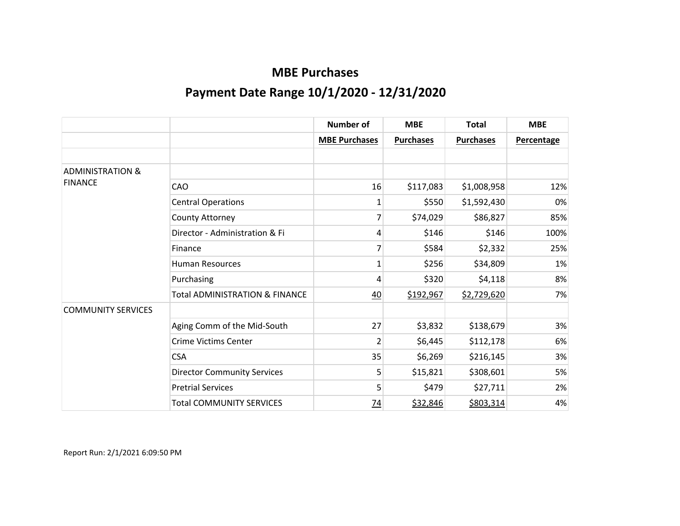|                             |                                           | <b>Number of</b>     | <b>MBE</b>       | <b>Total</b>     | <b>MBE</b> |
|-----------------------------|-------------------------------------------|----------------------|------------------|------------------|------------|
|                             |                                           | <b>MBE Purchases</b> | <b>Purchases</b> | <b>Purchases</b> | Percentage |
|                             |                                           |                      |                  |                  |            |
| <b>ADMINISTRATION &amp;</b> |                                           |                      |                  |                  |            |
| <b>FINANCE</b>              | CAO                                       | 16                   | \$117,083        | \$1,008,958      | 12%        |
|                             | <b>Central Operations</b>                 | 1                    | \$550            | \$1,592,430      | 0%         |
|                             | County Attorney                           | 7                    | \$74,029         | \$86,827         | 85%        |
|                             | Director - Administration & Fi            | 4                    | \$146            | \$146            | 100%       |
|                             | Finance                                   |                      | \$584            | \$2,332          | 25%        |
|                             | <b>Human Resources</b>                    | $\mathbf{1}$         | \$256            | \$34,809         | 1%         |
|                             | Purchasing                                | 4                    | \$320            | \$4,118          | 8%         |
|                             | <b>Total ADMINISTRATION &amp; FINANCE</b> | 40                   | \$192,967        | \$2,729,620      | 7%         |
| <b>COMMUNITY SERVICES</b>   |                                           |                      |                  |                  |            |
|                             | Aging Comm of the Mid-South               | 27                   | \$3,832          | \$138,679        | 3%         |
|                             | <b>Crime Victims Center</b>               | $\overline{2}$       | \$6,445          | \$112,178        | 6%         |
|                             | <b>CSA</b>                                | 35                   | \$6,269          | \$216,145        | 3%         |
|                             | <b>Director Community Services</b>        | 5                    | \$15,821         | \$308,601        | 5%         |
|                             | <b>Pretrial Services</b>                  | 5                    | \$479            | \$27,711         | 2%         |
|                             | <b>Total COMMUNITY SERVICES</b>           | <u>74</u>            | \$32,846         | \$803,314        | 4%         |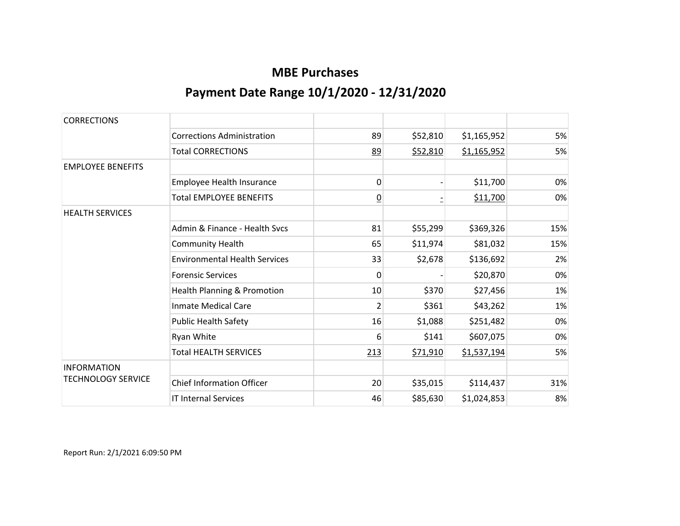| <b>CORRECTIONS</b>        |                                      |                 |                 |             |     |
|---------------------------|--------------------------------------|-----------------|-----------------|-------------|-----|
|                           | <b>Corrections Administration</b>    | 89              | \$52,810        | \$1,165,952 | 5%  |
|                           | <b>Total CORRECTIONS</b>             | 89              | \$52,810        | \$1,165,952 | 5%  |
| <b>EMPLOYEE BENEFITS</b>  |                                      |                 |                 |             |     |
|                           | Employee Health Insurance            | 0               |                 | \$11,700    | 0%  |
|                           | <b>Total EMPLOYEE BENEFITS</b>       | $\underline{0}$ |                 | \$11,700    | 0%  |
| <b>HEALTH SERVICES</b>    |                                      |                 |                 |             |     |
|                           | Admin & Finance - Health Svcs        | 81              | \$55,299        | \$369,326   | 15% |
|                           | <b>Community Health</b>              | 65              | \$11,974        | \$81,032    | 15% |
|                           | <b>Environmental Health Services</b> | 33              | \$2,678         | \$136,692   | 2%  |
|                           | <b>Forensic Services</b>             | 0               |                 | \$20,870    | 0%  |
|                           | Health Planning & Promotion          | 10              | \$370           | \$27,456    | 1%  |
|                           | <b>Inmate Medical Care</b>           | $\overline{2}$  | \$361           | \$43,262    | 1%  |
|                           | <b>Public Health Safety</b>          | 16              | \$1,088         | \$251,482   | 0%  |
|                           | Ryan White                           | 6               | \$141           | \$607,075   | 0%  |
|                           | <b>Total HEALTH SERVICES</b>         | 213             | <u>\$71,910</u> | \$1,537,194 | 5%  |
| <b>INFORMATION</b>        |                                      |                 |                 |             |     |
| <b>TECHNOLOGY SERVICE</b> | <b>Chief Information Officer</b>     | 20              | \$35,015        | \$114,437   | 31% |
|                           | <b>IT Internal Services</b>          | 46              | \$85,630        | \$1,024,853 | 8%  |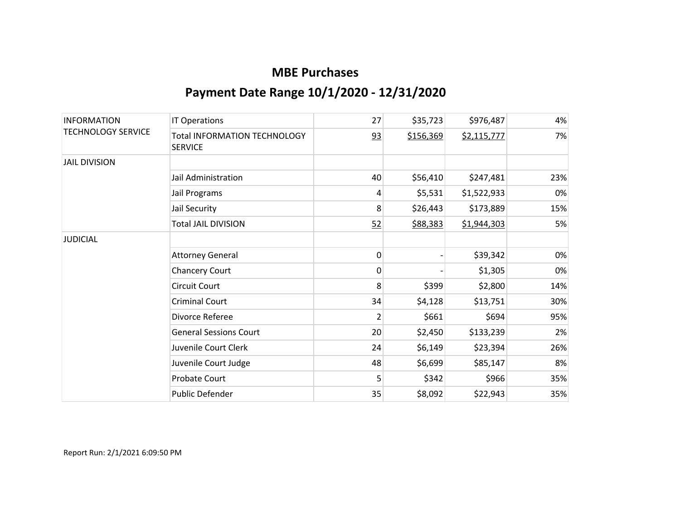| <b>INFORMATION</b><br><b>TECHNOLOGY SERVICE</b> | <b>IT Operations</b>                                  | 27 | \$35,723  | \$976,487   | 4%  |
|-------------------------------------------------|-------------------------------------------------------|----|-----------|-------------|-----|
|                                                 | <b>Total INFORMATION TECHNOLOGY</b><br><b>SERVICE</b> | 93 | \$156,369 | \$2,115,777 | 7%  |
| <b>JAIL DIVISION</b>                            |                                                       |    |           |             |     |
|                                                 | Jail Administration                                   | 40 | \$56,410  | \$247,481   | 23% |
|                                                 | Jail Programs                                         | 4  | \$5,531   | \$1,522,933 | 0%  |
|                                                 | Jail Security                                         | 8  | \$26,443  | \$173,889   | 15% |
|                                                 | <b>Total JAIL DIVISION</b>                            | 52 | \$88,383  | \$1,944,303 | 5%  |
| <b>JUDICIAL</b>                                 |                                                       |    |           |             |     |
|                                                 | <b>Attorney General</b>                               | 0  |           | \$39,342    | 0%  |
|                                                 | <b>Chancery Court</b>                                 | 0  |           | \$1,305     | 0%  |
|                                                 | Circuit Court                                         | 8  | \$399     | \$2,800     | 14% |
|                                                 | <b>Criminal Court</b>                                 | 34 | \$4,128   | \$13,751    | 30% |
|                                                 | Divorce Referee                                       | 2  | \$661     | \$694       | 95% |
|                                                 | <b>General Sessions Court</b>                         | 20 | \$2,450   | \$133,239   | 2%  |
|                                                 | Juvenile Court Clerk                                  | 24 | \$6,149   | \$23,394    | 26% |
|                                                 | Juvenile Court Judge                                  | 48 | \$6,699   | \$85,147    | 8%  |
|                                                 | Probate Court                                         | 5  | \$342     | \$966       | 35% |
|                                                 | Public Defender                                       | 35 | \$8,092   | \$22,943    | 35% |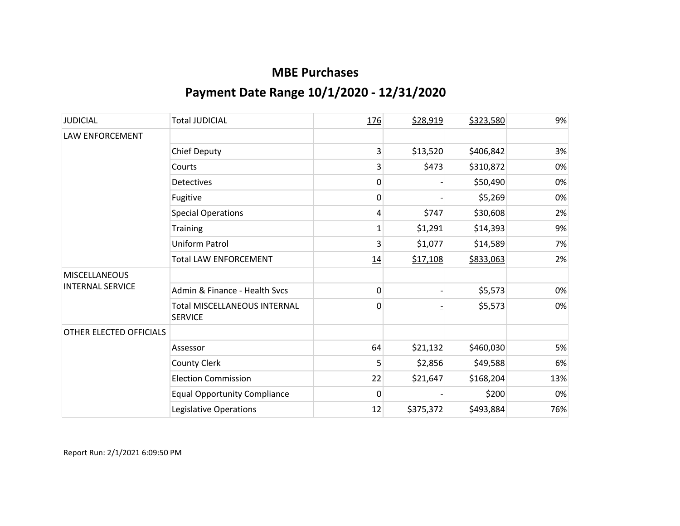| <b>JUDICIAL</b>         | <b>Total JUDICIAL</b>                                 | 176            | \$28,919  | \$323,580 | 9%  |
|-------------------------|-------------------------------------------------------|----------------|-----------|-----------|-----|
| LAW ENFORCEMENT         |                                                       |                |           |           |     |
|                         | <b>Chief Deputy</b>                                   | 3              | \$13,520  | \$406,842 | 3%  |
|                         | Courts                                                | 3              | \$473     | \$310,872 | 0%  |
|                         | <b>Detectives</b>                                     | 0              |           | \$50,490  | 0%  |
|                         | Fugitive                                              | 0              |           | \$5,269   | 0%  |
|                         | <b>Special Operations</b>                             | 4              | \$747     | \$30,608  | 2%  |
|                         | <b>Training</b>                                       | 1              | \$1,291   | \$14,393  | 9%  |
|                         | Uniform Patrol                                        | 3              | \$1,077   | \$14,589  | 7%  |
|                         | <b>Total LAW ENFORCEMENT</b>                          | 14             | \$17,108  | \$833,063 | 2%  |
| <b>MISCELLANEOUS</b>    |                                                       |                |           |           |     |
| <b>INTERNAL SERVICE</b> | Admin & Finance - Health Svcs                         | 0              |           | \$5,573   | 0%  |
|                         | <b>Total MISCELLANEOUS INTERNAL</b><br><b>SERVICE</b> | $\overline{0}$ |           | \$5,573   | 0%  |
| OTHER ELECTED OFFICIALS |                                                       |                |           |           |     |
|                         | Assessor                                              | 64             | \$21,132  | \$460,030 | 5%  |
|                         | <b>County Clerk</b>                                   | 5              | \$2,856   | \$49,588  | 6%  |
|                         | <b>Election Commission</b>                            | 22             | \$21,647  | \$168,204 | 13% |
|                         | <b>Equal Opportunity Compliance</b>                   | $\mathbf 0$    |           | \$200     | 0%  |
|                         | Legislative Operations                                | 12             | \$375,372 | \$493,884 | 76% |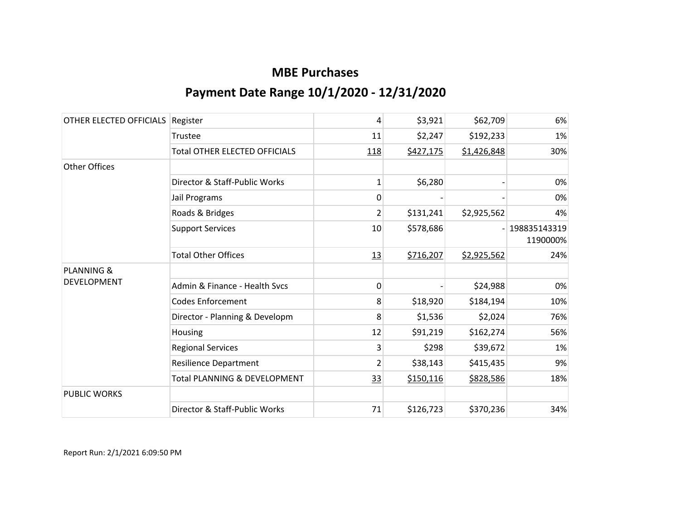| OTHER ELECTED OFFICIALS | Register                                | 4              | \$3,921   | \$62,709    | 6%                       |
|-------------------------|-----------------------------------------|----------------|-----------|-------------|--------------------------|
|                         | Trustee                                 | 11             | \$2,247   | \$192,233   | 1%                       |
|                         | <b>Total OTHER ELECTED OFFICIALS</b>    | 118            | \$427,175 | \$1,426,848 | 30%                      |
| <b>Other Offices</b>    |                                         |                |           |             |                          |
|                         | Director & Staff-Public Works           | $\mathbf{1}$   | \$6,280   |             | 0%                       |
|                         | Jail Programs                           | $\mathbf{0}$   |           |             | 0%                       |
|                         | Roads & Bridges                         | $\overline{2}$ | \$131,241 | \$2,925,562 | 4%                       |
|                         | <b>Support Services</b>                 | 10             | \$578,686 |             | 198835143319<br>1190000% |
|                         | <b>Total Other Offices</b>              | 13             | \$716,207 | \$2,925,562 | 24%                      |
| <b>PLANNING &amp;</b>   |                                         |                |           |             |                          |
| <b>DEVELOPMENT</b>      | Admin & Finance - Health Svcs           | 0              |           | \$24,988    | 0%                       |
|                         | <b>Codes Enforcement</b>                | 8              | \$18,920  | \$184,194   | 10%                      |
|                         | Director - Planning & Developm          | 8              | \$1,536   | \$2,024     | 76%                      |
|                         | Housing                                 | 12             | \$91,219  | \$162,274   | 56%                      |
|                         | <b>Regional Services</b>                | 3              | \$298     | \$39,672    | 1%                       |
|                         | <b>Resilience Department</b>            | $\overline{2}$ | \$38,143  | \$415,435   | 9%                       |
|                         | <b>Total PLANNING &amp; DEVELOPMENT</b> | 33             | \$150,116 | \$828,586   | 18%                      |
| <b>PUBLIC WORKS</b>     |                                         |                |           |             |                          |
|                         | Director & Staff-Public Works           | 71             | \$126,723 | \$370,236   | 34%                      |